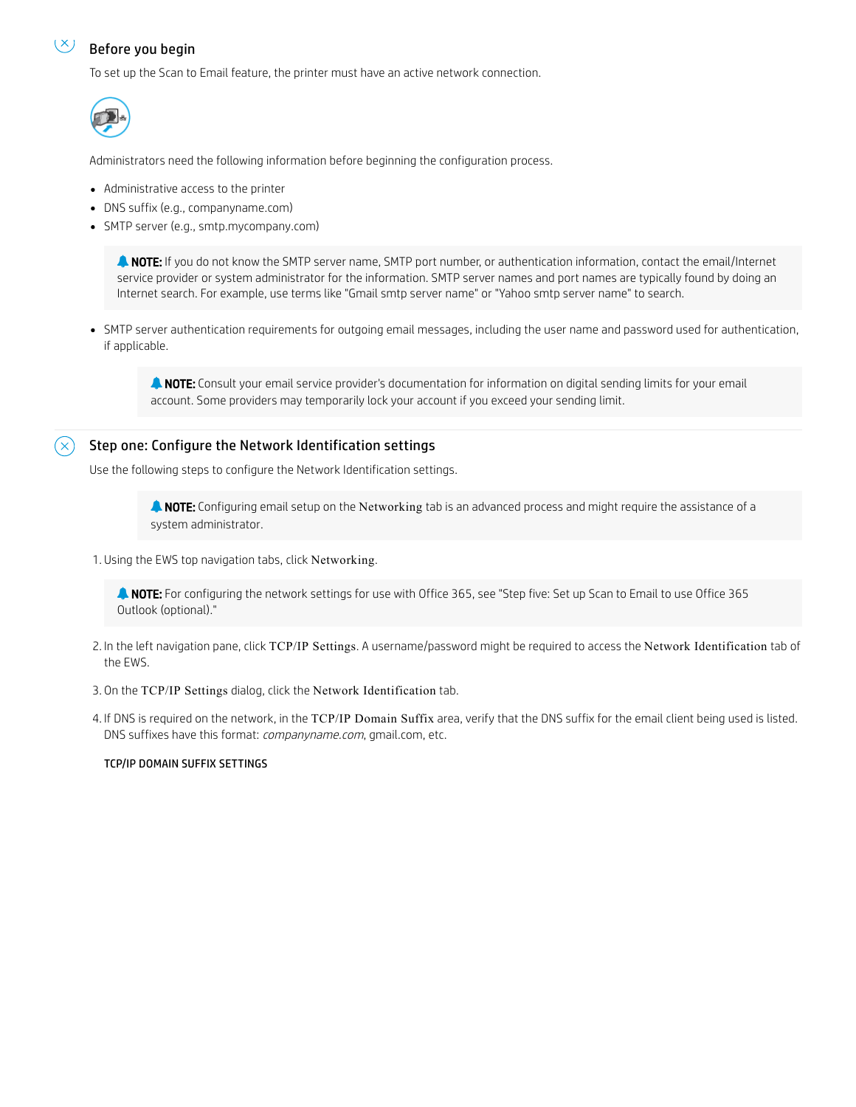#### $(\times)$ Before you begin

To set up the Scan to Email feature, the printer must have an active network connection.



Administrators need the following information before beginning the configuration process.

- Administrative access to the printer
- DNS suffix (e.g., companyname.com)
- SMTP server (e.g., smtp.mycompany.com)

 NOTE: If you do not know the SMTP server name, SMTP port number, or authentication information, contact the email/Internet service provider or system administrator for the information. SMTP server names and port names are typically found by doing an Internet search. For example, use terms like "Gmail smtp server name" or "Yahoo smtp server name" to search.

SMTP server authentication requirements for outgoing email messages, including the user name and password used for authentication, if applicable.

**A NOTE:** Consult your email service provider's documentation for information on digital sending limits for your email account. Some providers may temporarily lock your account if you exceed your sending limit.

# Step one: Configure the Network Identification settings

Use the following steps to configure the Network Identification settings.

**A NOTE:** Configuring email setup on the Networking tab is an advanced process and might require the assistance of a system administrator.

1. Using the EWS top navigation tabs, click Networking.

**A NOTE:** For configuring the network settings for use with Office 365, see "Step five: Set up Scan to Email to use Office 365 Outlook (optional)."

- 2. In the left navigation pane, click TCP/IP Settings. A username/password might be required to access the Network Identification tab of the EWS.
- 3. On the TCP/IP Settings dialog, click the Network Identification tab.
- 4. If DNS is required on the network, in the TCP/IP Domain Suffix area, verify that the DNS suffix for the email client being used is listed. DNS suffixes have this format: *companyname.com*, gmail.com, etc.

## TCP/IP DOMAIN SUFFIX SETTINGS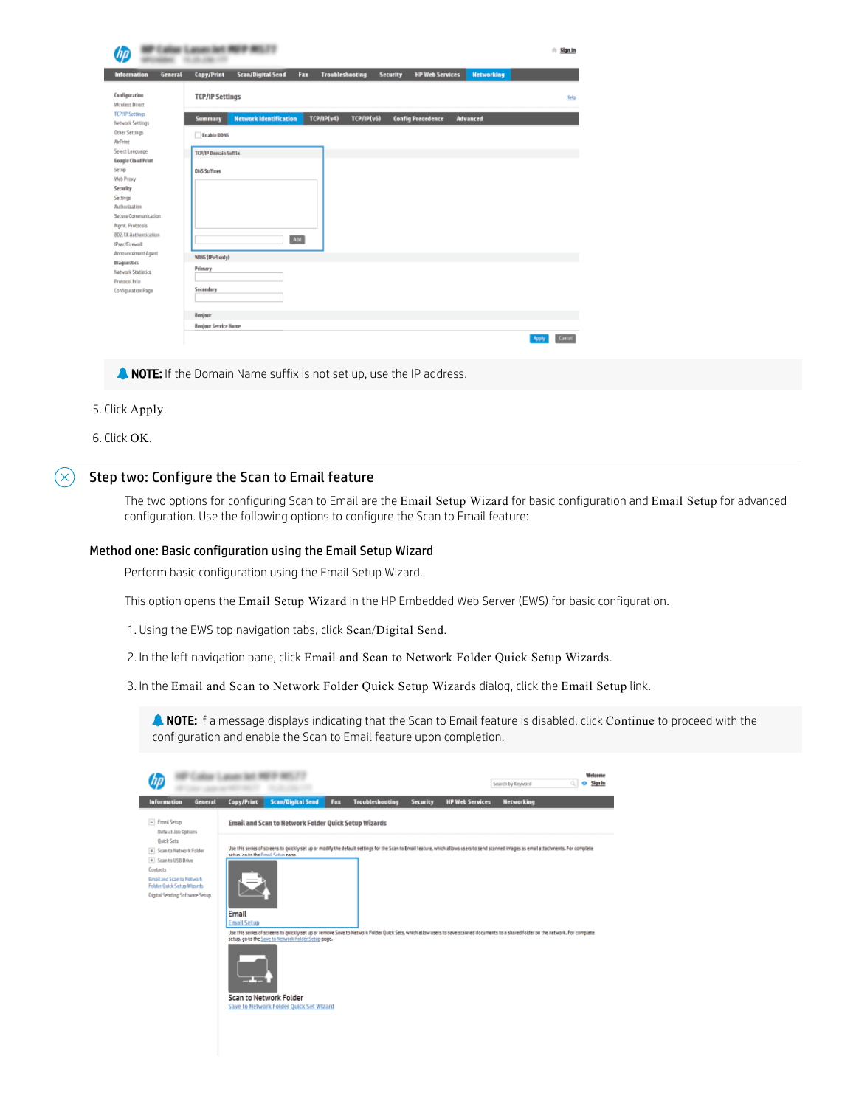|                                                                                                                                                                                                             | <b>US RED DF RES. 77</b>                                                                                                                         | $#$ Sign In            |
|-------------------------------------------------------------------------------------------------------------------------------------------------------------------------------------------------------------|--------------------------------------------------------------------------------------------------------------------------------------------------|------------------------|
| <b>Information</b><br><b>General</b>                                                                                                                                                                        | <b>Networking</b><br><b>Copy/Print</b><br><b>Scan/Digital Send</b><br><b>Troubleshooting</b><br><b>HP Web Services</b><br>Fax<br><b>Security</b> |                        |
| Configuration<br><b>Wireless Direct</b>                                                                                                                                                                     | <b>TCP/IP Settings</b>                                                                                                                           | Help                   |
| <b>TCP/IP Settings</b><br><b>Network Settings</b>                                                                                                                                                           | <b>Network Identification</b><br>TCP/IP(v4)<br>TCP/IP(v6)<br><b>Summary</b><br><b>Config Precedence</b><br><b>Advanced</b>                       |                        |
| <b>Other Settings</b><br><b>AirPrint</b>                                                                                                                                                                    | Enable DDNS                                                                                                                                      |                        |
| Select Language                                                                                                                                                                                             | <b>TCP/IP Domain Sufflix</b>                                                                                                                     |                        |
| <b>Google Cloud Print</b><br>Setup<br>Web Proxy<br>Security<br>Settings<br>Authorization<br>Secure Communication<br>Mgmt. Protocols<br>802.1X Authentication<br><b>IPsec/Firewall</b><br>Announcement Agent | <b>DNS Suffixes</b><br>Add                                                                                                                       |                        |
| <b>Diagnostics</b><br>Notwork Statistics<br>Protocol Info<br>Configuration Page                                                                                                                             | WINS (IPv4 only)<br>Primary<br>Secondary<br>Bonjour<br><b>Bonjour Service Name</b>                                                               |                        |
|                                                                                                                                                                                                             |                                                                                                                                                  | <b>Cancel</b><br>Apply |

**NOTE:** If the Domain Name suffix is not set up, use the IP address.

- 5. Click Apply.
- 6. Click OK.

#### $(\times)$ Step two: Configure the Scan to Email feature

The two options for configuring Scan to Email are the Email Setup Wizard for basic configuration and Email Setup for advanced configuration. Use the following options to configure the Scan to Email feature:

### Method one: Basic configuration using the Email Setup Wizard

Perform basic configuration using the Email Setup Wizard.

This option opens the Email Setup Wizard in the HP Embedded Web Server (EWS) for basic configuration.

1. Using the EWS top navigation tabs, click Scan/Digital Send.

2. In the left navigation pane, click Email and Scan to Network Folder Quick Setup Wizards.

3. In the Email and Scan to Network Folder Quick Setup Wizards dialog, click the Email Setup link.

**A NOTE:** If a message displays indicating that the Scan to Email feature is disabled, click Continue to proceed with the configuration and enable the Scan to Email feature upon completion.

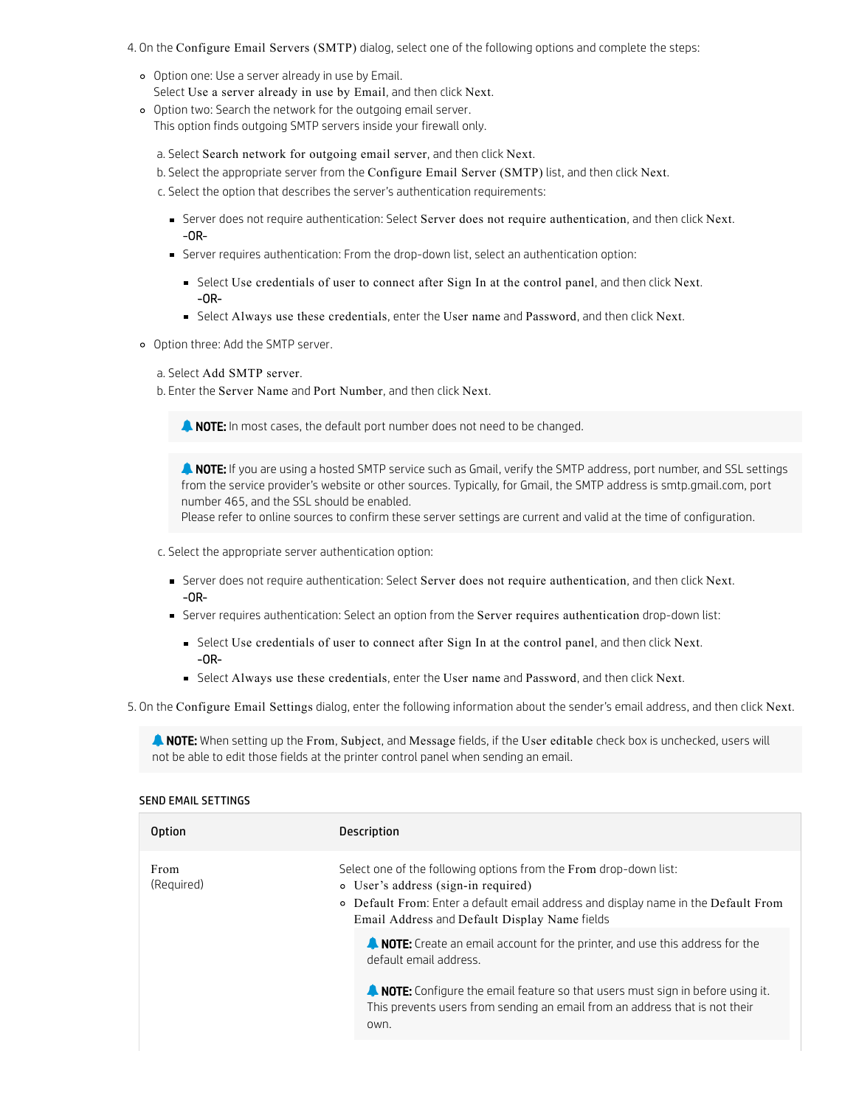- 4. On the Configure Email Servers (SMTP) dialog, select one of the following options and complete the steps:
	- Option one: Use a server already in use by Email. Select Use a server already in use by Email, and then click Next.
	- Option two: Search the network for the outgoing email server. This option finds outgoing SMTP servers inside your firewall only.

a. Select Search network for outgoing email server, and then click Next.

- b. Select the appropriate server from the Configure Email Server (SMTP) list, and then click Next.
- c. Select the option that describes the server's authentication requirements:
	- Server does not require authentication: Select Server does not require authentication, and then click Next. -OR-
	- Server requires authentication: From the drop-down list, select an authentication option:
		- Select Use credentials of user to connect after Sign In at the control panel, and then click Next. -OR-
		- Select Always use these credentials, enter the User name and Password, and then click Next.
- Option three: Add the SMTP server.

## a. Select Add SMTP server.

b. Enter the Server Name and Port Number, and then click Next.

**NOTE:** In most cases, the default port number does not need to be changed.

**A NOTE:** If you are using a hosted SMTP service such as Gmail, verify the SMTP address, port number, and SSL settings from the service provider's website or other sources. Typically, for Gmail, the SMTP address is smtp.gmail.com, port number 465, and the SSL should be enabled.

Please refer to online sources to confirm these server settings are current and valid at the time of configuration.

c. Select the appropriate server authentication option:

- Server does not require authentication: Select Server does not require authentication, and then click Next. -OR-
- Server requires authentication: Select an option from the Server requires authentication drop-down list:
	- Select Use credentials of user to connect after Sign In at the control panel, and then click Next. -OR-
	- Select Always use these credentials, enter the User name and Password, and then click Next.

5. On the Configure Email Settings dialog, enter the following information about the sender's email address, and then click Next.

**A NOTE:** When setting up the From, Subject, and Message fields, if the User editable check box is unchecked, users will not be able to edit those fields at the printer control panel when sending an email.

### SEND EMAIL SETTINGS

| Option             | Description                                                                                                                                                                                                                                                                                                                                                                                                                                                                                                                                  |
|--------------------|----------------------------------------------------------------------------------------------------------------------------------------------------------------------------------------------------------------------------------------------------------------------------------------------------------------------------------------------------------------------------------------------------------------------------------------------------------------------------------------------------------------------------------------------|
| From<br>(Required) | Select one of the following options from the From drop-down list:<br>o User's address (sign-in required)<br>• Default From: Enter a default email address and display name in the Default From<br>Email Address and Default Display Name fields<br>A NOTE: Create an email account for the printer, and use this address for the<br>default email address.<br><b>A. NOTE:</b> Configure the email feature so that users must sign in before using it.<br>This prevents users from sending an email from an address that is not their<br>own. |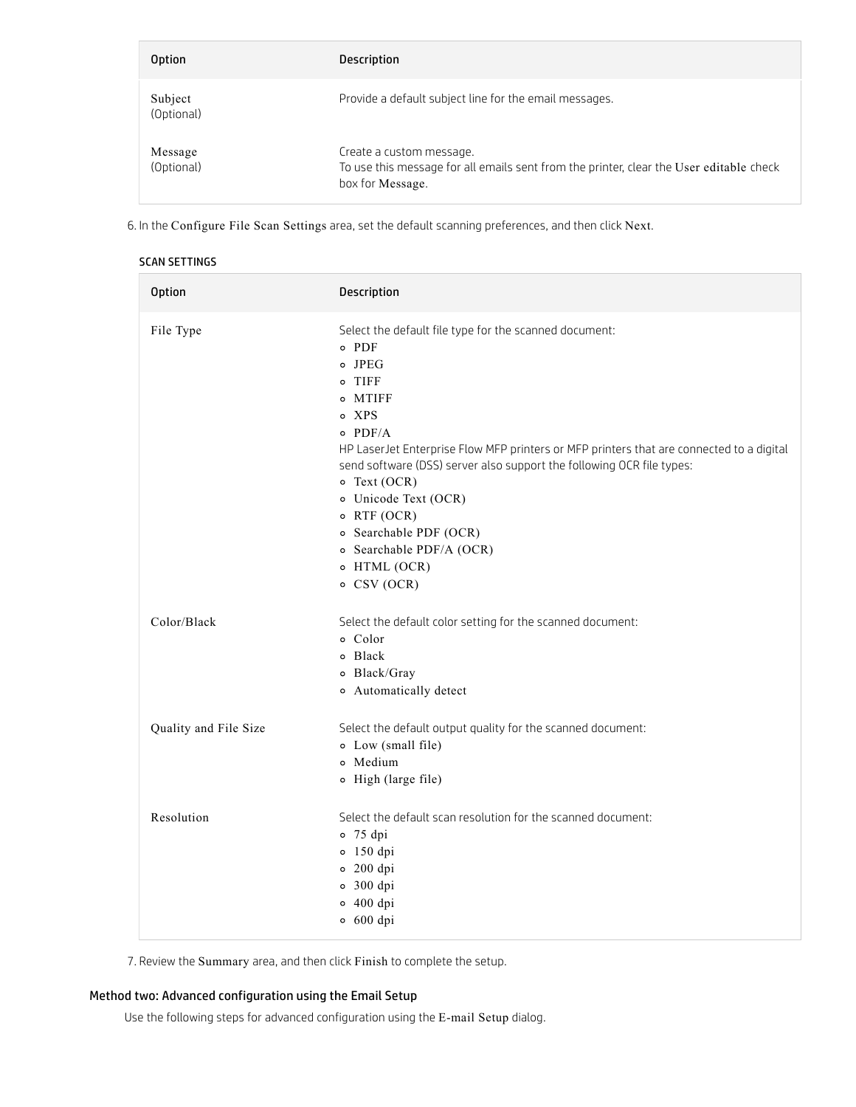| <b>Option</b>         | <b>Description</b>                                                                                                                      |
|-----------------------|-----------------------------------------------------------------------------------------------------------------------------------------|
| Subject<br>(Optional) | Provide a default subject line for the email messages.                                                                                  |
| Message<br>(Optional) | Create a custom message.<br>To use this message for all emails sent from the printer, clear the User editable check<br>box for Message. |

6. In the Configure File Scan Settings area, set the default scanning preferences, and then click Next.

| <b>Option</b>         | Description                                                                                                                                                                                                                                                                                                                                                                                                                                                 |
|-----------------------|-------------------------------------------------------------------------------------------------------------------------------------------------------------------------------------------------------------------------------------------------------------------------------------------------------------------------------------------------------------------------------------------------------------------------------------------------------------|
| File Type             | Select the default file type for the scanned document:<br>$\circ$ PDF<br>o JPEG<br>o TIFF<br>o MTIFF<br>o XPS<br>$\circ$ PDF/A<br>HP LaserJet Enterprise Flow MFP printers or MFP printers that are connected to a digital<br>send software (DSS) server also support the following OCR file types:<br>$\circ$ Text (OCR)<br>o Unicode Text (OCR)<br>$\circ$ RTF (OCR)<br>o Searchable PDF (OCR)<br>o Searchable PDF/A (OCR)<br>o HTML (OCR)<br>o CSV (OCR) |
| Color/Black           | Select the default color setting for the scanned document:<br>o Color<br>o Black<br>o Black/Gray<br>o Automatically detect                                                                                                                                                                                                                                                                                                                                  |
| Quality and File Size | Select the default output quality for the scanned document:<br>o Low (small file)<br>o Medium<br>o High (large file)                                                                                                                                                                                                                                                                                                                                        |
| Resolution            | Select the default scan resolution for the scanned document:<br>$0$ 75 dpi<br>$0$ 150 dpi<br>$0$ 200 dpi<br>$0$ 300 dpi<br>$0$ 400 dpi<br>$0$ 600 dpi                                                                                                                                                                                                                                                                                                       |

7. Review the Summary area, and then click Finish to complete the setup.

# Method two: Advanced configuration using the Email Setup

Use the following steps for advanced configuration using the E-mail Setup dialog.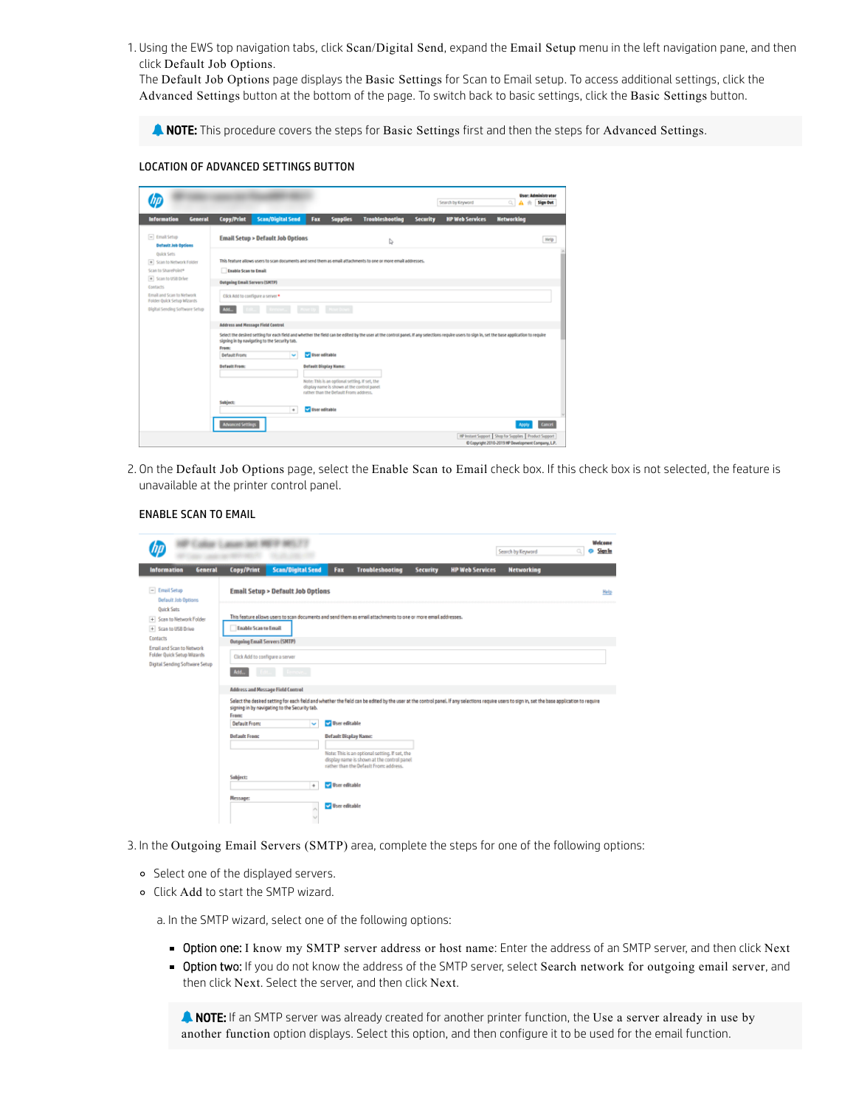1. Using the EWS top navigation tabs, click Scan/Digital Send, expand the Email Setup menu in the left navigation pane, and then click Default Job Options.

The Default Job Options page displays the Basic Settings for Scan to Email setup. To access additional settings, click the Advanced Settings button at the bottom of the page. To switch back to basic settings, click the Basic Settings button.

**A NOTE:** This procedure covers the steps for Basic Settings first and then the steps for Advanced Settings.

## LOCATION OF ADVANCED SETTINGS BUTTON

| <b>Information</b><br><b>General</b>                                                        | Copy/Print                                                                | <b>Scan/Digital Send</b>                           | Fax                          | <b>Supplies</b>                                                                                                                        | <b>Troubleshooting</b>                                                                                         | <b>Security</b> | <b>HP Web Services</b> | <b>Networking</b>                                                                                                                                                                               |
|---------------------------------------------------------------------------------------------|---------------------------------------------------------------------------|----------------------------------------------------|------------------------------|----------------------------------------------------------------------------------------------------------------------------------------|----------------------------------------------------------------------------------------------------------------|-----------------|------------------------|-------------------------------------------------------------------------------------------------------------------------------------------------------------------------------------------------|
| $-$ Email Setup<br><b>Default Job Options</b>                                               |                                                                           | <b>Email Setup &gt; Default Job Options</b>        |                              |                                                                                                                                        | b,                                                                                                             |                 |                        | Help                                                                                                                                                                                            |
| <b>Quick Sets</b><br>· Scan to Network Folder<br>Scan to SharePoint®<br>+ Scan to USB Drive | <b>Enable Scan to Email</b>                                               |                                                    |                              |                                                                                                                                        | This feature allows users to scan documents and send them as email attachments to one or more email addresses. |                 |                        |                                                                                                                                                                                                 |
| Contacts.<br>Email and Scan to Network<br>Folder Quick Setup Infizants                      | <b>Outgoing Email Servers (SMTP)</b><br>Click Add to configure a server * |                                                    |                              |                                                                                                                                        |                                                                                                                |                 |                        |                                                                                                                                                                                                 |
| <b>Digital Sending Software Setup</b>                                                       | AM.<br><b>Address and Message Field Control</b>                           |                                                    |                              | Move Down                                                                                                                              |                                                                                                                |                 |                        | Select the desired setting for each field and whether the field can be edited by the user at the control panel. If any selections require users to sign in, set the base application to require |
|                                                                                             | Frame<br><b>Default From:</b>                                             | signing in by navigating to the Security tab.<br>× | <b>Diser editable</b>        |                                                                                                                                        |                                                                                                                |                 |                        |                                                                                                                                                                                                 |
|                                                                                             | <b>Befault From:</b>                                                      |                                                    | <b>Default Display Name:</b> | Note: This is an optional setting, if set, the<br>display name is shown at the control panel.<br>rather than the Default From address. |                                                                                                                |                 |                        |                                                                                                                                                                                                 |
|                                                                                             |                                                                           |                                                    |                              |                                                                                                                                        |                                                                                                                |                 |                        |                                                                                                                                                                                                 |
|                                                                                             | Subject:                                                                  | $\ddot{\phantom{1}}$                               | User editable                |                                                                                                                                        |                                                                                                                |                 |                        |                                                                                                                                                                                                 |
|                                                                                             | <b>Advanced Settings</b>                                                  |                                                    |                              |                                                                                                                                        |                                                                                                                |                 |                        | Cancel<br>HP Instant Support   Shop for Supplies   Product Support                                                                                                                              |

2. On the Default Job Options page, select the Enable Scan to Email check box. If this check box is not selected, the feature is unavailable at the printer control panel.

|                                                                      | 1. college 12. percent taken with 19 tak |                                                                                                                                                                                                                                                  |                              |                                                                                                                                        |                 |                        | Search by Keyword | ö | <b>Sign In</b> |
|----------------------------------------------------------------------|------------------------------------------|--------------------------------------------------------------------------------------------------------------------------------------------------------------------------------------------------------------------------------------------------|------------------------------|----------------------------------------------------------------------------------------------------------------------------------------|-----------------|------------------------|-------------------|---|----------------|
| General<br><b>Information</b>                                        | Copy/Print                               | <b>Scan/Digital Send</b>                                                                                                                                                                                                                         | Fax                          | <b>Troubleshooting</b>                                                                                                                 | <b>Security</b> | <b>HP Web Services</b> | <b>Networking</b> |   |                |
| $-$ Email Setup<br><b>Default Job Options</b>                        |                                          | <b>Email Setup &gt; Default Job Options</b>                                                                                                                                                                                                      |                              |                                                                                                                                        |                 |                        |                   |   | Help           |
| <b>Ouick Sets</b><br>+ Scan to Network Folder<br>+ Scan to USB Drive | <b>Enable Scan to Email</b>              | This feature allows users to scan documents and send them as email attachments to one or more email addresses.                                                                                                                                   |                              |                                                                                                                                        |                 |                        |                   |   |                |
| Contacts<br>Email and Scan to Network                                | <b>Outgoing Email Servers (SMTP)</b>     |                                                                                                                                                                                                                                                  |                              |                                                                                                                                        |                 |                        |                   |   |                |
| Folder Quick Setup Wizards                                           | Click Add to configure a server          |                                                                                                                                                                                                                                                  |                              |                                                                                                                                        |                 |                        |                   |   |                |
| <b>Digital Sending Software Setup</b>                                | Add.                                     |                                                                                                                                                                                                                                                  |                              |                                                                                                                                        |                 |                        |                   |   |                |
|                                                                      | <b>Address and Message Field Control</b> |                                                                                                                                                                                                                                                  |                              |                                                                                                                                        |                 |                        |                   |   |                |
|                                                                      |                                          | Select the desired setting for each field and whether the field can be edited by the user at the control panel. If any selections require users to sign in, set the base application to require<br>signing in by navigating to the Security tab. |                              |                                                                                                                                        |                 |                        |                   |   |                |
|                                                                      | Fremc<br>Default From:                   | $\sim$                                                                                                                                                                                                                                           | User editable                |                                                                                                                                        |                 |                        |                   |   |                |
|                                                                      | <b>Befault From:</b>                     |                                                                                                                                                                                                                                                  | <b>Default Display Name:</b> |                                                                                                                                        |                 |                        |                   |   |                |
|                                                                      |                                          |                                                                                                                                                                                                                                                  |                              | Note: This is an optional setting. If set, the<br>display name is shown at the control panel.<br>rather than the Default From address. |                 |                        |                   |   |                |
|                                                                      | Subject:                                 | ٠                                                                                                                                                                                                                                                | <b>User editable</b>         |                                                                                                                                        |                 |                        |                   |   |                |
|                                                                      | Message:                                 | A                                                                                                                                                                                                                                                | User editable                |                                                                                                                                        |                 |                        |                   |   |                |

ENABLE SCAN TO EMAIL

- 3. In the Outgoing Email Servers (SMTP) area, complete the steps for one of the following options:
	- o Select one of the displayed servers.
	- Click Add to start the SMTP wizard.

a. In the SMTP wizard, select one of the following options:

- **Dption one: I** know my SMTP server address or host name: Enter the address of an SMTP server, and then click Next
- **Dption two:** If you do not know the address of the SMTP server, select Search network for outgoing email server, and then click Next. Select the server, and then click Next.

**A NOTE:** If an SMTP server was already created for another printer function, the Use a server already in use by another function option displays. Select this option, and then configure it to be used for the email function.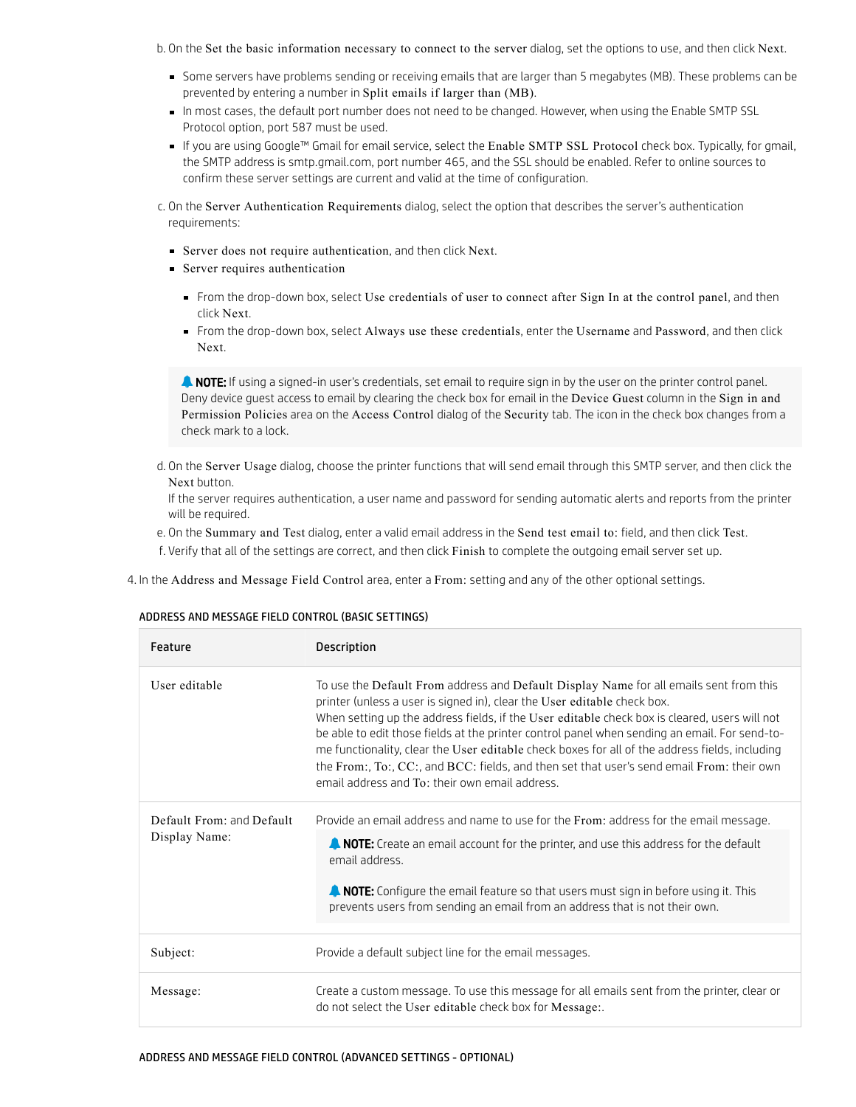b. On the Set the basic information necessary to connect to the server dialog, set the options to use, and then click Next.

- Some servers have problems sending or receiving emails that are larger than 5 megabytes (MB). These problems can be prevented by entering a number in Split emails if larger than (MB).
- In most cases, the default port number does not need to be changed. However, when using the Enable SMTP SSL Protocol option, port 587 must be used.
- If you are using Google™ Gmail for email service, select the Enable SMTP SSL Protocol check box. Typically, for gmail, the SMTP address is smtp.gmail.com, port number 465, and the SSL should be enabled. Refer to online sources to confirm these server settings are current and valid at the time of configuration.

c. On the Server Authentication Requirements dialog, select the option that describes the server's authentication requirements:

- Server does not require authentication, and then click Next.
- Server requires authentication
	- From the drop-down box, select Use credentials of user to connect after Sign In at the control panel, and then click Next.
	- From the drop-down box, select Always use these credentials, enter the Username and Password, and then click Next.

**A NOTE:** If using a signed-in user's credentials, set email to require sign in by the user on the printer control panel. Deny device guest access to email by clearing the check box for email in the Device Guest column in the Sign in and Permission Policies area on the Access Control dialog of the Security tab. The icon in the check box changes from a check mark to a lock.

d. On the Server Usage dialog, choose the printer functions that will send email through this SMTP server, and then click the Next button.

If the server requires authentication, a user name and password for sending automatic alerts and reports from the printer will be required.

- e. On the Summary and Test dialog, enter a valid email address in the Send test email to: field, and then click Test.
- f. Verify that all of the settings are correct, and then click Finish to complete the outgoing email server set up.

4. In the Address and Message Field Control area, enter a From: setting and any of the other optional settings.

### ADDRESS AND MESSAGE FIELD CONTROL (BASIC SETTINGS)

| Feature                                    | <b>Description</b>                                                                                                                                                                                                                                                                                                                                                                                                                                                                                                                                                                                                    |
|--------------------------------------------|-----------------------------------------------------------------------------------------------------------------------------------------------------------------------------------------------------------------------------------------------------------------------------------------------------------------------------------------------------------------------------------------------------------------------------------------------------------------------------------------------------------------------------------------------------------------------------------------------------------------------|
| User editable                              | To use the Default From address and Default Display Name for all emails sent from this<br>printer (unless a user is signed in), clear the User editable check box.<br>When setting up the address fields, if the User editable check box is cleared, users will not<br>be able to edit those fields at the printer control panel when sending an email. For send-to-<br>me functionality, clear the User editable check boxes for all of the address fields, including<br>the From:, To:, CC:, and BCC: fields, and then set that user's send email From: their own<br>email address and To: their own email address. |
| Default From: and Default<br>Display Name: | Provide an email address and name to use for the From: address for the email message.<br><b>ANOTE:</b> Create an email account for the printer, and use this address for the default<br>email address.<br><b>A NOTE:</b> Configure the email feature so that users must sign in before using it. This<br>prevents users from sending an email from an address that is not their own.                                                                                                                                                                                                                                  |
| Subject:                                   | Provide a default subject line for the email messages.                                                                                                                                                                                                                                                                                                                                                                                                                                                                                                                                                                |
| Message:                                   | Create a custom message. To use this message for all emails sent from the printer, clear or<br>do not select the User editable check box for Message:.                                                                                                                                                                                                                                                                                                                                                                                                                                                                |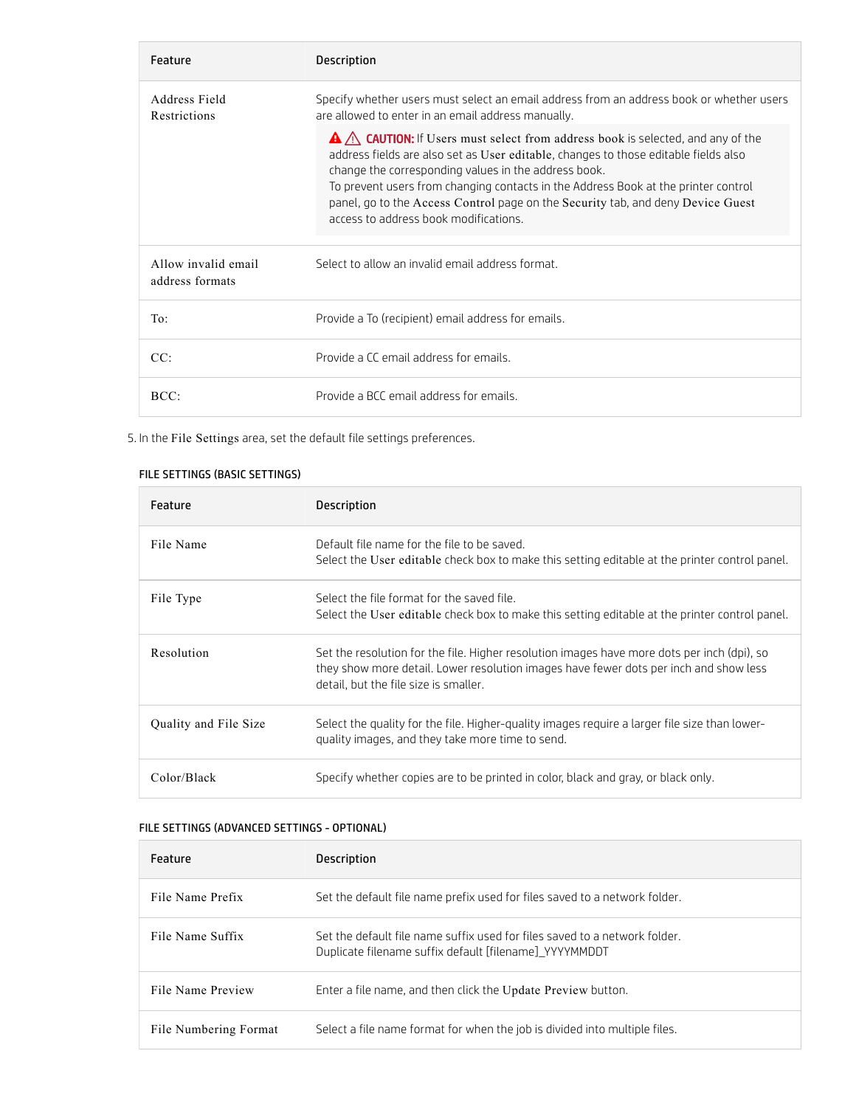| Feature                                | Description                                                                                                                                                                                                                                                                                                                                                                                                                                      |
|----------------------------------------|--------------------------------------------------------------------------------------------------------------------------------------------------------------------------------------------------------------------------------------------------------------------------------------------------------------------------------------------------------------------------------------------------------------------------------------------------|
| Address Field<br>Restrictions          | Specify whether users must select an email address from an address book or whether users<br>are allowed to enter in an email address manually.                                                                                                                                                                                                                                                                                                   |
|                                        | A A CAUTION: If Users must select from address book is selected, and any of the<br>address fields are also set as User editable, changes to those editable fields also<br>change the corresponding values in the address book.<br>To prevent users from changing contacts in the Address Book at the printer control<br>panel, go to the Access Control page on the Security tab, and deny Device Guest<br>access to address book modifications. |
| Allow invalid email<br>address formats | Select to allow an invalid email address format.                                                                                                                                                                                                                                                                                                                                                                                                 |
| To:                                    | Provide a To (recipient) email address for emails.                                                                                                                                                                                                                                                                                                                                                                                               |
| CC:                                    | Provide a CC email address for emails.                                                                                                                                                                                                                                                                                                                                                                                                           |
| BCC:                                   | Provide a BCC email address for emails.                                                                                                                                                                                                                                                                                                                                                                                                          |

5. In the File Settings area, set the default file settings preferences.

# FILE SETTINGS (BASIC SETTINGS)

| Feature               | Description                                                                                                                                                                                                                   |
|-----------------------|-------------------------------------------------------------------------------------------------------------------------------------------------------------------------------------------------------------------------------|
| File Name             | Default file name for the file to be saved.<br>Select the User editable check box to make this setting editable at the printer control panel.                                                                                 |
| File Type             | Select the file format for the saved file.<br>Select the User editable check box to make this setting editable at the printer control panel.                                                                                  |
| Resolution            | Set the resolution for the file. Higher resolution images have more dots per inch (dpi), so<br>they show more detail. Lower resolution images have fewer dots per inch and show less<br>detail, but the file size is smaller. |
| Quality and File Size | Select the quality for the file. Higher-quality images require a larger file size than lower-<br>quality images, and they take more time to send.                                                                             |
| Color/Black           | Specify whether copies are to be printed in color, black and gray, or black only.                                                                                                                                             |

# FILE SETTINGS (ADVANCED SETTINGS - OPTIONAL)

| Feature               | Description                                                                                                                          |
|-----------------------|--------------------------------------------------------------------------------------------------------------------------------------|
| File Name Prefix      | Set the default file name prefix used for files saved to a network folder.                                                           |
| File Name Suffix      | Set the default file name suffix used for files saved to a network folder.<br>Duplicate filename suffix default [filename] YYYYMMDDT |
| File Name Preview     | Enter a file name, and then click the Update Preview button.                                                                         |
| File Numbering Format | Select a file name format for when the job is divided into multiple files.                                                           |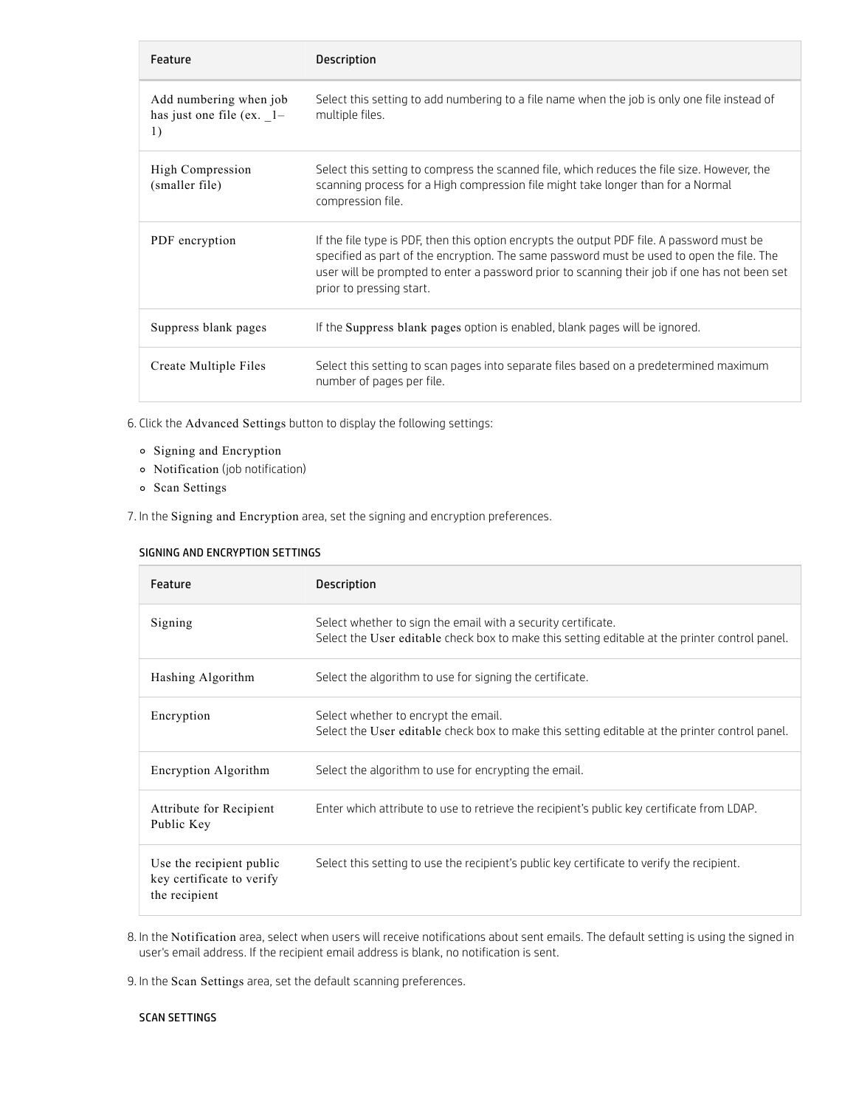| Feature                                                     | <b>Description</b>                                                                                                                                                                                                                                                                                                   |
|-------------------------------------------------------------|----------------------------------------------------------------------------------------------------------------------------------------------------------------------------------------------------------------------------------------------------------------------------------------------------------------------|
| Add numbering when job<br>has just one file (ex. $1-$<br>1) | Select this setting to add numbering to a file name when the job is only one file instead of<br>multiple files.                                                                                                                                                                                                      |
| High Compression<br>(smaller file)                          | Select this setting to compress the scanned file, which reduces the file size. However, the<br>scanning process for a High compression file might take longer than for a Normal<br>compression file.                                                                                                                 |
| PDF encryption                                              | If the file type is PDF, then this option encrypts the output PDF file. A password must be<br>specified as part of the encryption. The same password must be used to open the file. The<br>user will be prompted to enter a password prior to scanning their job if one has not been set<br>prior to pressing start. |
| Suppress blank pages                                        | If the Suppress blank pages option is enabled, blank pages will be ignored.                                                                                                                                                                                                                                          |
| Create Multiple Files                                       | Select this setting to scan pages into separate files based on a predetermined maximum<br>number of pages per file.                                                                                                                                                                                                  |

6. Click the Advanced Settings button to display the following settings:

- Signing and Encryption
- Notification (job notification)
- o Scan Settings

7. In the Signing and Encryption area, set the signing and encryption preferences.

## SIGNING AND ENCRYPTION SETTINGS

| Feature                                                                | <b>Description</b>                                                                                                                                              |
|------------------------------------------------------------------------|-----------------------------------------------------------------------------------------------------------------------------------------------------------------|
| Signing                                                                | Select whether to sign the email with a security certificate.<br>Select the User editable check box to make this setting editable at the printer control panel. |
| Hashing Algorithm                                                      | Select the algorithm to use for signing the certificate.                                                                                                        |
| Encryption                                                             | Select whether to encrypt the email.<br>Select the User editable check box to make this setting editable at the printer control panel.                          |
| Encryption Algorithm                                                   | Select the algorithm to use for encrypting the email.                                                                                                           |
| Attribute for Recipient<br>Public Key                                  | Enter which attribute to use to retrieve the recipient's public key certificate from LDAP.                                                                      |
| Use the recipient public<br>key certificate to verify<br>the recipient | Select this setting to use the recipient's public key certificate to verify the recipient.                                                                      |

8. In the Notification area, select when users will receive notifications about sent emails. The default setting is using the signed in user's email address. If the recipient email address is blank, no notification is sent.

9. In the Scan Settings area, set the default scanning preferences.

## SCAN SETTINGS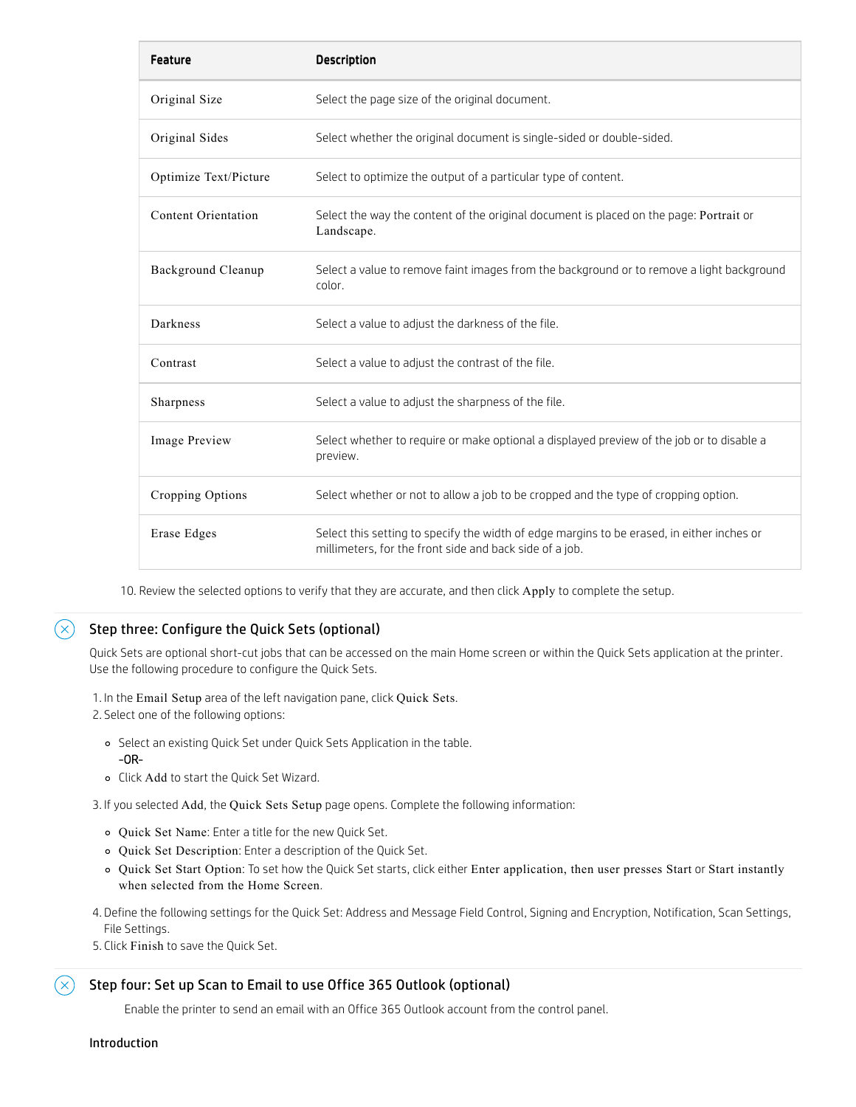| <b>Feature</b>        | <b>Description</b>                                                                                                                                    |
|-----------------------|-------------------------------------------------------------------------------------------------------------------------------------------------------|
| Original Size         | Select the page size of the original document.                                                                                                        |
| Original Sides        | Select whether the original document is single-sided or double-sided.                                                                                 |
| Optimize Text/Picture | Select to optimize the output of a particular type of content.                                                                                        |
| Content Orientation   | Select the way the content of the original document is placed on the page: Portrait or<br>Landscape.                                                  |
| Background Cleanup    | Select a value to remove faint images from the background or to remove a light background<br>color.                                                   |
| Darkness              | Select a value to adjust the darkness of the file.                                                                                                    |
| Contrast              | Select a value to adjust the contrast of the file.                                                                                                    |
| Sharpness             | Select a value to adjust the sharpness of the file.                                                                                                   |
| Image Preview         | Select whether to require or make optional a displayed preview of the job or to disable a<br>preview.                                                 |
| Cropping Options      | Select whether or not to allow a job to be cropped and the type of cropping option.                                                                   |
| Erase Edges           | Select this setting to specify the width of edge margins to be erased, in either inches or<br>millimeters, for the front side and back side of a job. |

10. Review the selected options to verify that they are accurate, and then click Apply to complete the setup.

#### $(\times)$ Step three: Configure the Quick Sets (optional)

Quick Sets are optional short-cut jobs that can be accessed on the main Home screen or within the Quick Sets application at the printer. Use the following procedure to configure the Quick Sets.

1. In the Email Setup area of the left navigation pane, click Quick Sets.

2. Select one of the following options:

- Select an existing Quick Set under Quick Sets Application in the table. -OR-
- Click Add to start the Quick Set Wizard.

3. If you selected Add, the Quick Sets Setup page opens. Complete the following information:

- Quick Set Name: Enter a title for the new Quick Set.
- Quick Set Description: Enter a description of the Quick Set.
- Quick Set Start Option: To set how the Quick Set starts, click either Enter application, then user presses Start or Start instantly when selected from the Home Screen.
- 4. Define the following settings for the Quick Set: Address and Message Field Control, Signing and Encryption, Notification, Scan Settings, File Settings.
- 5. Click Finish to save the Quick Set.

# Step four: Set up Scan to Email to use Office 365 Outlook (optional)

Enable the printer to send an email with an Office 365 Outlook account from the control panel.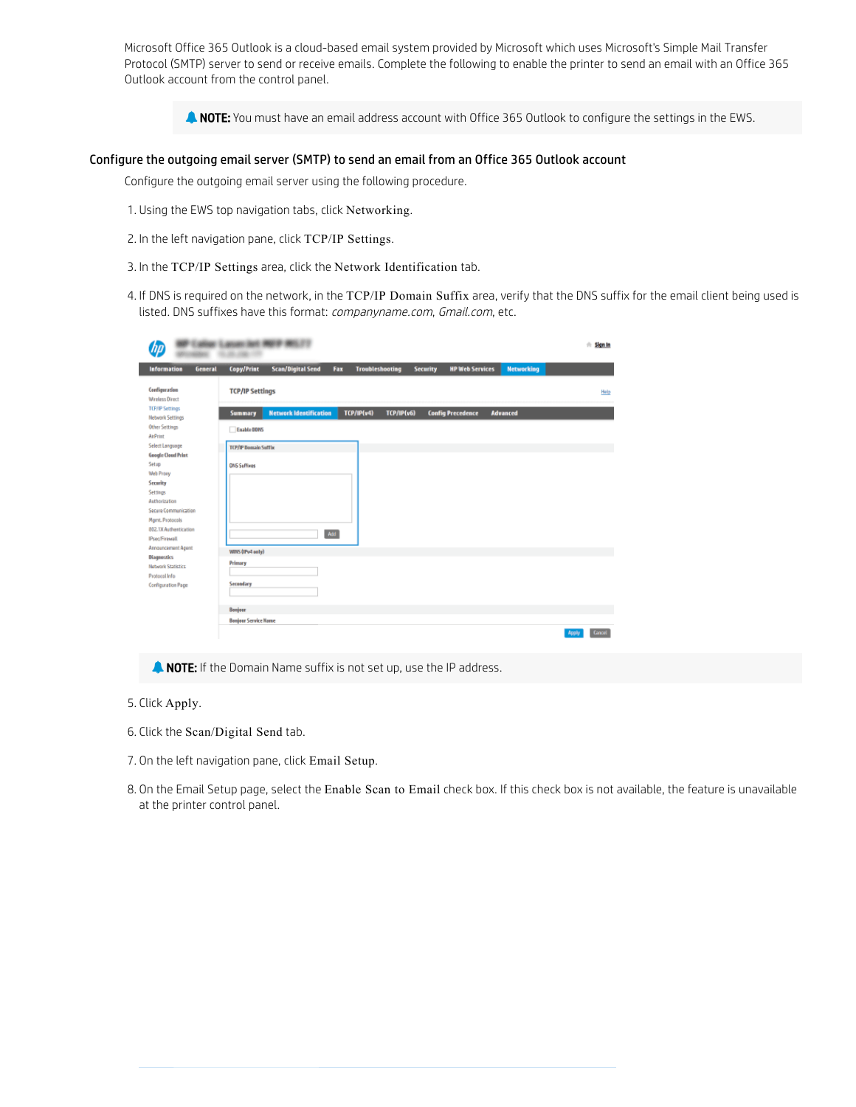Microsoft Office 365 Outlook is a cloud-based email system provided by Microsoft which uses Microsoft's Simple Mail Transfer Protocol (SMTP) server to send or receive emails. Complete the following to enable the printer to send an email with an Office 365 Outlook account from the control panel.

**A NOTE:** You must have an email address account with Office 365 Outlook to configure the settings in the EWS.

### Configure the outgoing email server (SMTP) to send an email from an Office 365 Outlook account

Configure the outgoing email server using the following procedure.

- 1. Using the EWS top navigation tabs, click Networking.
- 2. In the left navigation pane, click TCP/IP Settings.
- 3. In the TCP/IP Settings area, click the Network Identification tab.
- 4. If DNS is required on the network, in the TCP/IP Domain Suffix area, verify that the DNS suffix for the email client being used is listed. DNS suffixes have this format: companyname.com, Gmail.com, etc.

|                                                                                                                                                                                                                                                                | (4) 9904-9916, 213                                                                                                                               | $#$ Sign In     |
|----------------------------------------------------------------------------------------------------------------------------------------------------------------------------------------------------------------------------------------------------------------|--------------------------------------------------------------------------------------------------------------------------------------------------|-----------------|
| <b>Information</b><br>General                                                                                                                                                                                                                                  | <b>Scan/Digital Send</b><br><b>HP Web Services</b><br><b>Networking</b><br><b>Copy/Print</b><br><b>Troubleshooting</b><br><b>Security</b><br>Fax |                 |
| Configuration<br><b>Wireless Direct</b>                                                                                                                                                                                                                        | <b>TCP/IP Settings</b>                                                                                                                           | Help            |
| <b>TCP/IP Settings</b><br><b>Network Settings</b>                                                                                                                                                                                                              | <b>Network Identification</b><br>TCP/IP(v4)<br>TCP/IP(v6)<br><b>Config Precedence</b><br><b>Advanced</b><br><b>Summary</b>                       |                 |
| <b>Other Settings</b><br><b>AirPrint</b>                                                                                                                                                                                                                       | Enable DONS                                                                                                                                      |                 |
| Select Language                                                                                                                                                                                                                                                | <b>TCP/IP Domain Sufflix</b>                                                                                                                     |                 |
| <b>Google Cloud Print</b><br>Setup<br>Web Proxy<br>Security<br>Settings<br>Authorization<br>Secure Communication<br>Mgmt. Protocols<br>802.1X Authentication<br><b>IPsec/Firewall</b><br>Announcement Agent<br><b>Diagnostics</b><br><b>Natwork Statistics</b> | <b>DNS Suffixes</b><br>Add<br>WINS (IPv4 only)<br>Primary                                                                                        |                 |
| Protocol Info<br>Configuration Page                                                                                                                                                                                                                            | Secondary<br>Bonjour<br><b>Bonjour Service Name</b>                                                                                              | Cancel<br>Apply |

**A NOTE:** If the Domain Name suffix is not set up, use the IP address.

- 5. Click Apply.
- 6. Click the Scan/Digital Send tab.
- 7. On the left navigation pane, click Email Setup.
- 8. On the Email Setup page, select the Enable Scan to Email check box. If this check box is not available, the feature is unavailable at the printer control panel.